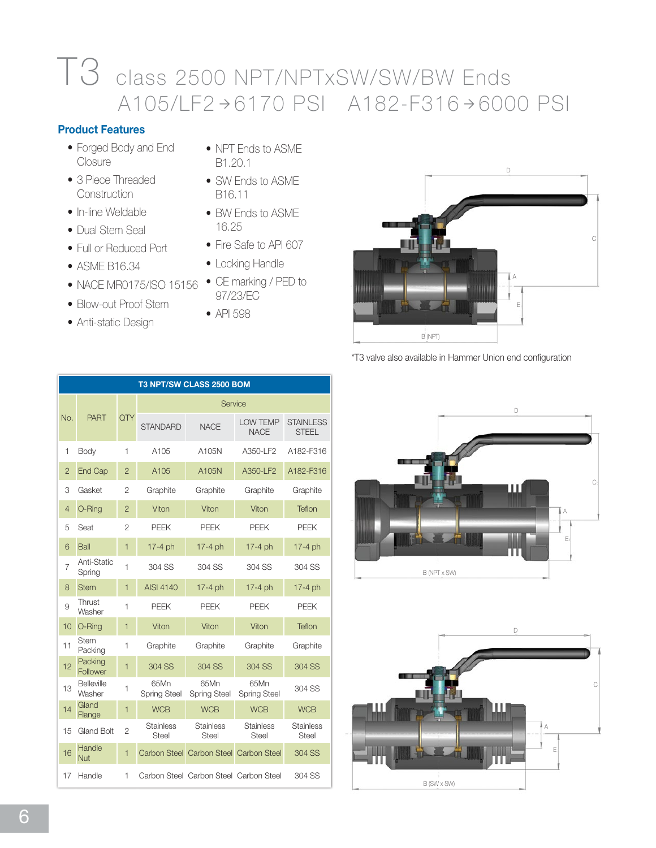## T3 class 2500 NPT/NPTxSW/SW/BW Ends  $A105/LF2 \rightarrow 6170$  PSI  $A182-F316 \rightarrow 6000$  PSI

## Product Features

- Forged Body and End Closure
- 3 Piece Threaded **Construction**
- In-line Weldable
- Dual Stem Seal
- Full or Reduced Port
- ASME B16.34
- NACE MR0175/ISO 15156 CE marking / PED to
- Blow-out Proof Stem
- Anti-static Design
- NPT Ends to ASME B1.20.1
- SW Ends to ASME B16.11
- BW Ends to ASME 16.25
- Fire Safe to API 607
- Locking Handle
- 97/23/EC
- • API 598



\*T3 valve also available in Hammer Union end configuration





| T3 NPT/SW CLASS 2500 BOM |                        |                |                             |                                        |                                  |                                  |  |  |  |  |  |  |  |
|--------------------------|------------------------|----------------|-----------------------------|----------------------------------------|----------------------------------|----------------------------------|--|--|--|--|--|--|--|
| No.                      |                        |                | Service                     |                                        |                                  |                                  |  |  |  |  |  |  |  |
|                          | <b>PART</b>            | QTY            | <b>STANDARD</b>             | <b>NACE</b>                            | <b>LOW TEMP</b><br><b>NACE</b>   | <b>STAINLESS</b><br><b>STEEL</b> |  |  |  |  |  |  |  |
| 1                        | Body                   | $\mathbf{1}$   | A105                        | A105N                                  | A350-LF2                         | A182-F316                        |  |  |  |  |  |  |  |
| $\overline{2}$           | <b>End Cap</b>         | $\overline{2}$ | A105                        | A105N                                  | A350-LF2                         | A182-F316                        |  |  |  |  |  |  |  |
| 3                        | Gasket                 | $\overline{2}$ | Graphite                    | Graphite                               | Graphite                         | Graphite                         |  |  |  |  |  |  |  |
| $\overline{4}$           | O-Ring                 | $\overline{2}$ | Viton                       | Viton                                  | Viton                            | Teflon                           |  |  |  |  |  |  |  |
| 5                        | Seat                   | $\overline{c}$ | <b>PEEK</b>                 | <b>PEEK</b>                            | <b>PEEK</b>                      | <b>PEEK</b>                      |  |  |  |  |  |  |  |
| 6                        | <b>Ball</b>            | $\mathbf{1}$   | 17-4 ph                     | $17-4$ ph                              |                                  |                                  |  |  |  |  |  |  |  |
| $\overline{7}$           | Anti-Static<br>Spring  | $\mathbf{1}$   | 304 SS                      | 304 SS                                 | 304 SS                           | 304 SS                           |  |  |  |  |  |  |  |
| 8                        | <b>Stem</b>            | 1              | <b>AISI 4140</b>            | 17-4 ph                                | 17-4 ph                          | 17-4 ph                          |  |  |  |  |  |  |  |
| 9                        | Thrust<br>Washer       | $\mathbf{1}$   | PEEK                        | <b>PEEK</b>                            | <b>PEEK</b>                      | <b>PEEK</b>                      |  |  |  |  |  |  |  |
| 10                       | O-Ring                 | 1              | Viton                       | Viton                                  | Viton                            | Teflon                           |  |  |  |  |  |  |  |
| 11                       | <b>Stem</b><br>Packing | 1              | Graphite                    | Graphite                               | Graphite                         | Graphite                         |  |  |  |  |  |  |  |
| 12                       | Packing<br>Follower    | $\mathbf{1}$   | 304 SS                      | <b>304 SS</b>                          | 304 SS                           | 304 SS                           |  |  |  |  |  |  |  |
| 13                       | Belleville<br>Washer   | 1              | 65Mn<br><b>Spring Steel</b> | 65Mn<br><b>Spring Steel</b>            | 65Mn<br><b>Spring Steel</b>      | 304 SS                           |  |  |  |  |  |  |  |
| 14                       | Gland<br>Flange        | $\mathbf{1}$   | <b>WCB</b>                  | <b>WCB</b>                             | <b>WCB</b>                       | <b>WCB</b>                       |  |  |  |  |  |  |  |
| 15                       | <b>Gland Bolt</b>      | $\overline{2}$ | <b>Stainless</b><br>Steel   | <b>Stainless</b><br>Steel              | <b>Stainless</b><br><b>Steel</b> | <b>Stainless</b><br><b>Steel</b> |  |  |  |  |  |  |  |
| 16                       | Handle<br><b>Nut</b>   | $\mathbf{1}$   |                             | Carbon Steel Carbon Steel Carbon Steel |                                  | 304 SS                           |  |  |  |  |  |  |  |
| 17                       | Handle                 | $\mathbf{1}$   |                             | Carbon Steel Carbon Steel Carbon Steel |                                  | 304 SS                           |  |  |  |  |  |  |  |
|                          |                        |                |                             |                                        |                                  |                                  |  |  |  |  |  |  |  |